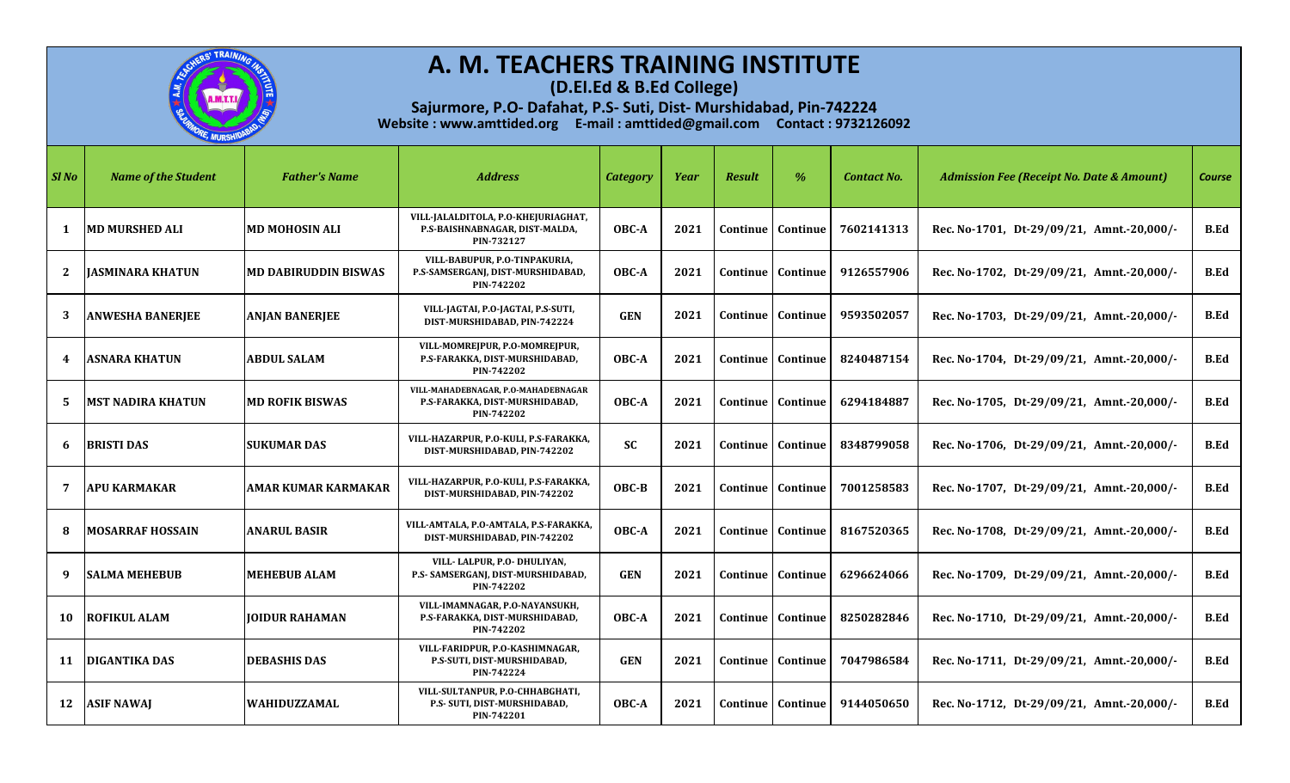

**(D.El.Ed & B.Ed College)**

| SI No | <b>Name of the Student</b> | <b>Father's Name</b>        | <b>Address</b>                                                                      | <b>Category</b> | Year | <b>Result</b> | $\%$                         | <b>Contact No.</b> | <b>Admission Fee (Receipt No. Date &amp; Amount)</b> | <b>Course</b> |
|-------|----------------------------|-----------------------------|-------------------------------------------------------------------------------------|-----------------|------|---------------|------------------------------|--------------------|------------------------------------------------------|---------------|
|       | <b>MD MURSHED ALI</b>      | <b>MD MOHOSIN ALI</b>       | VILL-JALALDITOLA, P.O-KHEJURIAGHAT,<br>P.S-BAISHNABNAGAR, DIST-MALDA,<br>PIN-732127 | OBC-A           | 2021 | Continue      | Continue                     | 7602141313         | Rec. No-1701, Dt-29/09/21, Amnt.-20,000/-            | B.Ed          |
| 2     | <b>JASMINARA KHATUN</b>    | <b>MD DABIRUDDIN BISWAS</b> | VILL-BABUPUR, P.O-TINPAKURIA,<br>P.S-SAMSERGANJ, DIST-MURSHIDABAD,<br>PIN-742202    | OBC-A           | 2021 |               | <b>Continue   Continue</b>   | 9126557906         | Rec. No-1702, Dt-29/09/21, Amnt.-20,000/-            | B.Ed          |
| 3     | <b>ANWESHA BANERJEE</b>    | <b>ANJAN BANERJEE</b>       | VILL-JAGTAI, P.O-JAGTAI, P.S-SUTI,<br>DIST-MURSHIDABAD, PIN-742224                  | <b>GEN</b>      | 2021 |               | Continue   Continue          | 9593502057         | Rec. No-1703, Dt-29/09/21, Amnt.-20,000/-            | B.Ed          |
|       | <b>ASNARA KHATUN</b>       | ABDUL SALAM                 | VILL-MOMREJPUR, P.O-MOMREJPUR,<br>P.S-FARAKKA, DIST-MURSHIDABAD,<br>PIN-742202      | OBC-A           | 2021 | Continue      | Continue                     | 8240487154         | Rec. No-1704, Dt-29/09/21, Amnt.-20,000/-            | <b>B.Ed</b>   |
| 5.    | <b>MST NADIRA KHATUN</b>   | <b>MD ROFIK BISWAS</b>      | VILL-MAHADEBNAGAR, P.O-MAHADEBNAGAR<br>P.S-FARAKKA, DIST-MURSHIDABAD,<br>PIN-742202 | OBC-A           | 2021 |               | <b>Continue   Continue  </b> | 6294184887         | Rec. No-1705, Dt-29/09/21, Amnt.-20,000/-            | <b>B.Ed</b>   |
| 6     | <b>BRISTI DAS</b>          | <b>SUKUMAR DAS</b>          | VILL-HAZARPUR, P.O-KULI, P.S-FARAKKA,<br>DIST-MURSHIDABAD, PIN-742202               | <b>SC</b>       | 2021 | Continue      | Continue                     | 8348799058         | Rec. No-1706, Dt-29/09/21, Amnt.-20,000/-            | B.Ed          |
| 7     | <b>APU KARMAKAR</b>        | <b>AMAR KUMAR KARMAKAR</b>  | VILL-HAZARPUR, P.O-KULI, P.S-FARAKKA,<br>DIST-MURSHIDABAD, PIN-742202               | OBC-B           | 2021 |               | Continue   Continue          | 7001258583         | Rec. No-1707, Dt-29/09/21, Amnt.-20,000/-            | <b>B.Ed</b>   |
| 8     | MOSARRAF HOSSAIN           | <b>ANARUL BASIR</b>         | VILL-AMTALA, P.O-AMTALA, P.S-FARAKKA,<br>DIST-MURSHIDABAD, PIN-742202               | OBC-A           | 2021 |               | Continue   Continue          | 8167520365         | Rec. No-1708, Dt-29/09/21, Amnt.-20,000/-            | B.Ed          |
| 9     | <b>SALMA MEHEBUB</b>       | <b>MEHEBUB ALAM</b>         | VILL-LALPUR, P.O- DHULIYAN,<br>P.S- SAMSERGANJ, DIST-MURSHIDABAD,<br>PIN-742202     | <b>GEN</b>      | 2021 | Continue      | Continue                     | 6296624066         | Rec. No-1709, Dt-29/09/21, Amnt.-20,000/-            | <b>B.Ed</b>   |
|       | 10 ROFIKUL ALAM            | <b>IOIDUR RAHAMAN</b>       | VILL-IMAMNAGAR, P.O-NAYANSUKH,<br>P.S-FARAKKA, DIST-MURSHIDABAD,<br>PIN-742202      | OBC-A           | 2021 | Continue      | Continue                     | 8250282846         | Rec. No-1710, Dt-29/09/21, Amnt.-20,000/-            | <b>B.Ed</b>   |
|       | 11 DIGANTIKA DAS           | <b>DEBASHIS DAS</b>         | VILL-FARIDPUR, P.O-KASHIMNAGAR,<br>P.S-SUTI, DIST-MURSHIDABAD,<br>PIN-742224        | <b>GEN</b>      | 2021 | Continue      | Continue                     | 7047986584         | Rec. No-1711, Dt-29/09/21, Amnt.-20,000/-            | B.Ed          |
| 12    | <b>ASIF NAWAJ</b>          | <b>WAHIDUZZAMAL</b>         | VILL-SULTANPUR, P.O-CHHABGHATI,<br>P.S- SUTI, DIST-MURSHIDABAD,<br>PIN-742201       | OBC-A           | 2021 |               | Continue   Continue          | 9144050650         | Rec. No-1712, Dt-29/09/21, Amnt.-20,000/-            | <b>B.Ed</b>   |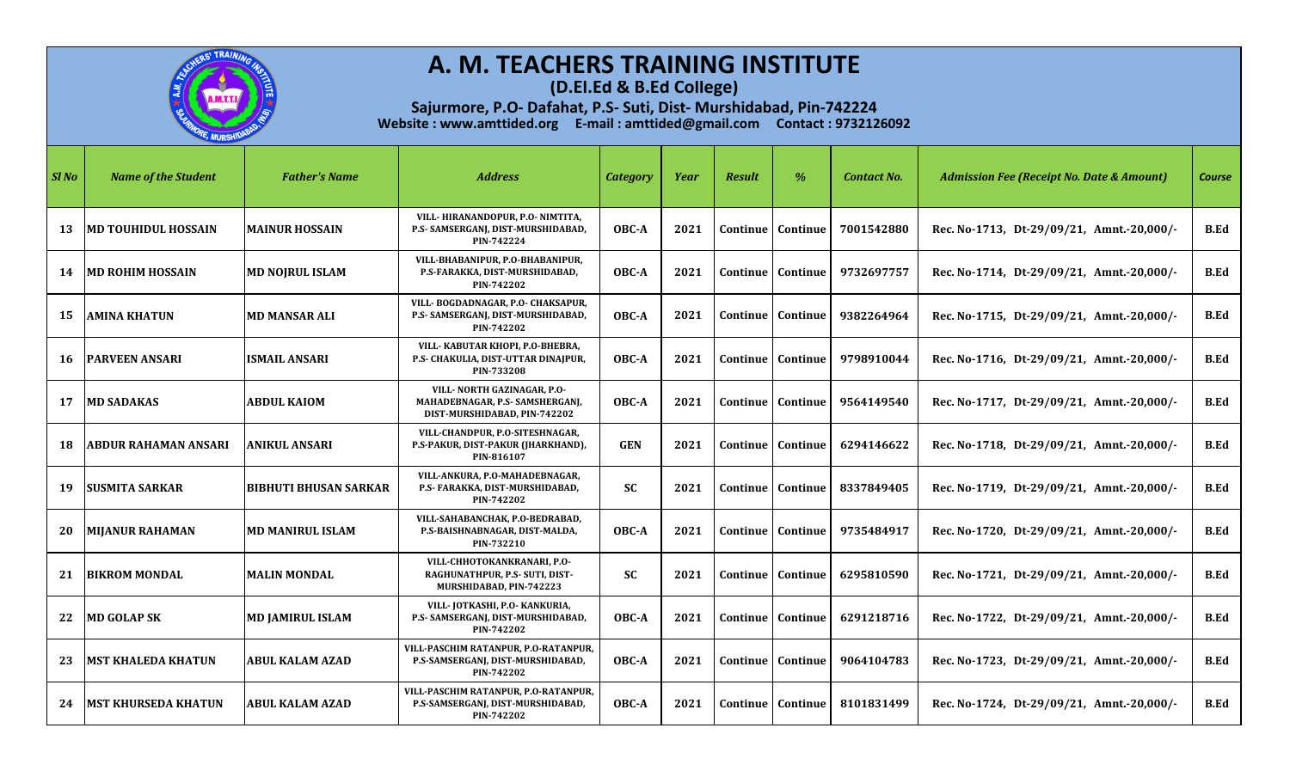

**(D.El.Ed & B.Ed College)**

| Sl No | <b>Name of the Student</b>  | <b>Father's Name</b>         | <b>Address</b>                                                                                 | <b>Category</b> | Year | <b>Result</b>   | $\%$     | <b>Contact No.</b> | <b>Admission Fee (Receipt No. Date &amp; Amount)</b> | <b>Course</b> |
|-------|-----------------------------|------------------------------|------------------------------------------------------------------------------------------------|-----------------|------|-----------------|----------|--------------------|------------------------------------------------------|---------------|
| 13    | <b>MD TOUHIDUL HOSSAIN</b>  | <b>MAINUR HOSSAIN</b>        | VILL-HIRANANDOPUR, P.O-NIMTITA,<br>P.S- SAMSERGANJ, DIST-MURSHIDABAD,<br>PIN-742224            | OBC-A           | 2021 | Continue        | Continue | 7001542880         | Rec. No-1713, Dt-29/09/21, Amnt.-20,000/-            | <b>B.Ed</b>   |
| 14    | <b>MD ROHIM HOSSAIN</b>     | <b>MD NOIRUL ISLAM</b>       | VILL-BHABANIPUR, P.O-BHABANIPUR,<br>P.S-FARAKKA, DIST-MURSHIDABAD,<br>PIN-742202               | OBC-A           | 2021 | Continue        | Continue | 9732697757         | Rec. No-1714, Dt-29/09/21, Amnt.-20,000/-            | B.Ed          |
| 15    | <b>AMINA KHATUN</b>         | <b>MD MANSAR ALI</b>         | VILL-BOGDADNAGAR, P.O- CHAKSAPUR,<br>P.S- SAMSERGANJ, DIST-MURSHIDABAD,<br>PIN-742202          | OBC-A           | 2021 | Continue        | Continue | 9382264964         | Rec. No-1715, Dt-29/09/21, Amnt.-20,000/-            | <b>B.Ed</b>   |
| 16    | <b>IPARVEEN ANSARI</b>      | <b>ISMAIL ANSARI</b>         | VILL- KABUTAR KHOPI, P.O-BHEBRA,<br>P.S- CHAKULIA, DIST-UTTAR DINAJPUR,<br>PIN-733208          | OBC-A           | 2021 | Continue        | Continue | 9798910044         | Rec. No-1716, Dt-29/09/21, Amnt.-20,000/-            | <b>B.Ed</b>   |
| 17    | <b>MD SADAKAS</b>           | <b>ABDUL KAIOM</b>           | VILL- NORTH GAZINAGAR, P.O-<br>MAHADEBNAGAR, P.S- SAMSHERGANJ,<br>DIST-MURSHIDABAD, PIN-742202 | OBC-A           | 2021 | <b>Continue</b> | Continue | 9564149540         | Rec. No-1717, Dt-29/09/21, Amnt.-20,000/-            | B.Ed          |
| 18    | <b>ABDUR RAHAMAN ANSARI</b> | ANIKUL ANSARI                | VILL-CHANDPUR, P.O-SITESHNAGAR,<br>P.S-PAKUR, DIST-PAKUR (JHARKHAND),<br>PIN-816107            | <b>GEN</b>      | 2021 | Continue        | Continue | 6294146622         | Rec. No-1718, Dt-29/09/21, Amnt.-20,000/-            | B.Ed          |
| 19    | <b>SUSMITA SARKAR</b>       | <b>BIBHUTI BHUSAN SARKAR</b> | VILL-ANKURA, P.O-MAHADEBNAGAR,<br>P.S- FARAKKA, DIST-MURSHIDABAD,<br>PIN-742202                | <b>SC</b>       | 2021 | Continue        | Continue | 8337849405         | Rec. No-1719, Dt-29/09/21, Amnt.-20,000/-            | B.Ed          |
| 20    | <b>MIJANUR RAHAMAN</b>      | <b>MD MANIRUL ISLAM</b>      | VILL-SAHABANCHAK, P.O-BEDRABAD,<br>P.S-BAISHNABNAGAR, DIST-MALDA,<br>PIN-732210                | OBC-A           | 2021 | Continue        | Continue | 9735484917         | Rec. No-1720, Dt-29/09/21, Amnt.-20,000/-            | <b>B.Ed</b>   |
| 21    | <b>BIKROM MONDAL</b>        | <b>MALIN MONDAL</b>          | VILL-CHHOTOKANKRANARI, P.O-<br>RAGHUNATHPUR, P.S- SUTI, DIST-<br>MURSHIDABAD, PIN-742223       | <b>SC</b>       | 2021 | Continue        | Continue | 6295810590         | Rec. No-1721, Dt-29/09/21, Amnt.-20,000/-            | <b>B.Ed</b>   |
| 22    | <b>MD GOLAP SK</b>          | <b>MD JAMIRUL ISLAM</b>      | VILL-JOTKASHI, P.O- KANKURIA,<br>P.S- SAMSERGANJ, DIST-MURSHIDABAD,<br>PIN-742202              | OBC-A           | 2021 | Continue        | Continue | 6291218716         | Rec. No-1722, Dt-29/09/21, Amnt.-20,000/-            | <b>B.Ed</b>   |
| 23    | <b>MST KHALEDA KHATUN</b>   | <b>ABUL KALAM AZAD</b>       | VILL-PASCHIM RATANPUR, P.O-RATANPUR,<br>P.S-SAMSERGANJ, DIST-MURSHIDABAD,<br>PIN-742202        | OBC-A           | 2021 | Continue        | Continue | 9064104783         | Rec. No-1723, Dt-29/09/21, Amnt.-20,000/-            | B.Ed          |
| 24    | <b>MST KHURSEDA KHATUN</b>  | <b>ABUL KALAM AZAD</b>       | VILL-PASCHIM RATANPUR, P.O-RATANPUR,<br>P.S-SAMSERGANJ, DIST-MURSHIDABAD,<br>PIN-742202        | OBC-A           | 2021 | Continue        | Continue | 8101831499         | Rec. No-1724, Dt-29/09/21, Amnt.-20,000/-            | B.Ed          |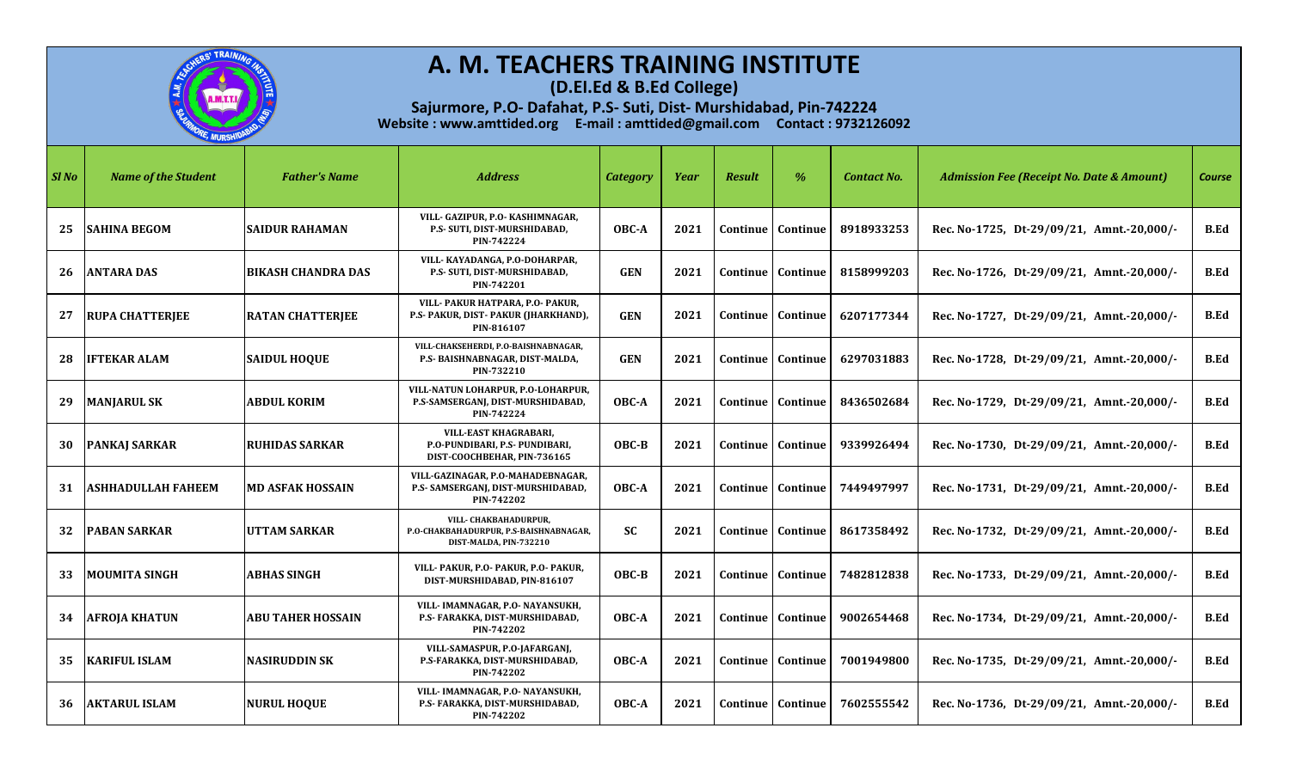

**(D.El.Ed & B.Ed College)**

| Sl No | <b>Name of the Student</b> | <b>Father's Name</b>      | <b>Address</b>                                                                                | <b>Category</b> | Year | <b>Result</b> | $\%$                         | <b>Contact No.</b> | <b>Admission Fee (Receipt No. Date &amp; Amount)</b> | <b>Course</b> |
|-------|----------------------------|---------------------------|-----------------------------------------------------------------------------------------------|-----------------|------|---------------|------------------------------|--------------------|------------------------------------------------------|---------------|
| 25    | <b>SAHINA BEGOM</b>        | <b>SAIDUR RAHAMAN</b>     | VILL- GAZIPUR, P.O- KASHIMNAGAR,<br>P.S- SUTI, DIST-MURSHIDABAD,<br>PIN-742224                | OBC-A           | 2021 | Continue      | Continue                     | 8918933253         | Rec. No-1725, Dt-29/09/21, Amnt.-20,000/-            | <b>B.Ed</b>   |
| 26    | <b>ANTARA DAS</b>          | <b>BIKASH CHANDRA DAS</b> | VILL- KAYADANGA, P.O-DOHARPAR,<br>P.S- SUTI, DIST-MURSHIDABAD,<br>PIN-742201                  | <b>GEN</b>      | 2021 |               | <b>Continue   Continue</b>   | 8158999203         | Rec. No-1726, Dt-29/09/21, Amnt.-20,000/-            | B.Ed          |
| 27    | <b>RUPA CHATTERJEE</b>     | <b>RATAN CHATTERJEE</b>   | VILL- PAKUR HATPARA, P.O- PAKUR,<br>P.S- PAKUR, DIST- PAKUR (JHARKHAND),<br>PIN-816107        | <b>GEN</b>      | 2021 |               | Continue   Continue          | 6207177344         | Rec. No-1727, Dt-29/09/21, Amnt.-20,000/-            | <b>B.Ed</b>   |
| 28    | <b>IFTEKAR ALAM</b>        | <b>SAIDUL HOOUE</b>       | VILL-CHAKSEHERDI, P.O-BAISHNABNAGAR,<br>P.S- BAISHNABNAGAR, DIST-MALDA,<br>PIN-732210         | <b>GEN</b>      | 2021 | Continue      | Continue                     | 6297031883         | Rec. No-1728, Dt-29/09/21, Amnt.-20,000/-            | <b>B.Ed</b>   |
| 29    | <b>MANJARUL SK</b>         | <b>ABDUL KORIM</b>        | VILL-NATUN LOHARPUR, P.O-LOHARPUR,<br>P.S-SAMSERGANJ, DIST-MURSHIDABAD,<br>PIN-742224         | OBC-A           | 2021 |               | <b>Continue   Continue  </b> | 8436502684         | Rec. No-1729, Dt-29/09/21, Amnt.-20,000/-            | B.Ed          |
| 30    | <b>PANKAJ SARKAR</b>       | <b>RUHIDAS SARKAR</b>     | <b>VILL-EAST KHAGRABARI,</b><br>P.O-PUNDIBARI, P.S- PUNDIBARI,<br>DIST-COOCHBEHAR, PIN-736165 | $OBC-B$         | 2021 | Continue      | Continue                     | 9339926494         | Rec. No-1730, Dt-29/09/21, Amnt.-20,000/-            | <b>B.Ed</b>   |
| 31    | <b>ASHHADULLAH FAHEEM</b>  | <b>MD ASFAK HOSSAIN</b>   | VILL-GAZINAGAR, P.O-MAHADEBNAGAR,<br>P.S- SAMSERGANJ, DIST-MURSHIDABAD,<br>PIN-742202         | OBC-A           | 2021 |               | Continue   Continue          | 7449497997         | Rec. No-1731, Dt-29/09/21, Amnt.-20,000/-            | B.Ed          |
| 32    | <b>PABAN SARKAR</b>        | UTTAM SARKAR              | VILL- CHAKBAHADURPUR,<br>P.O-CHAKBAHADURPUR, P.S-BAISHNABNAGAR,<br>DIST-MALDA, PIN-732210     | <b>SC</b>       | 2021 |               | <b>Continue   Continue  </b> | 8617358492         | Rec. No-1732, Dt-29/09/21, Amnt.-20,000/-            | B.Ed          |
| 33    | <b>MOUMITA SINGH</b>       | <b>ABHAS SINGH</b>        | VILL- PAKUR, P.O- PAKUR, P.O- PAKUR,<br>DIST-MURSHIDABAD, PIN-816107                          | OBC-B           | 2021 | Continue      | Continue                     | 7482812838         | Rec. No-1733, Dt-29/09/21, Amnt.-20,000/-            | <b>B.Ed</b>   |
|       | <b>34 AFROJA KHATUN</b>    | <b>ABU TAHER HOSSAIN</b>  | VILL- IMAMNAGAR, P.O- NAYANSUKH,<br>P.S- FARAKKA, DIST-MURSHIDABAD,<br>PIN-742202             | OBC-A           | 2021 |               | Continue   Continue          | 9002654468         | Rec. No-1734, Dt-29/09/21, Amnt.-20,000/-            | <b>B.Ed</b>   |
| 35    | <b>KARIFUL ISLAM</b>       | NASIRUDDIN SK             | VILL-SAMASPUR, P.O-JAFARGANJ,<br>P.S-FARAKKA, DIST-MURSHIDABAD,<br>PIN-742202                 | OBC-A           | 2021 | Continue      | Continue                     | 7001949800         | Rec. No-1735, Dt-29/09/21, Amnt.-20,000/-            | B.Ed          |
| 36    | <b>AKTARUL ISLAM</b>       | <b>NURUL HOQUE</b>        | VILL- IMAMNAGAR, P.O- NAYANSUKH,<br>P.S- FARAKKA, DIST-MURSHIDABAD,<br>PIN-742202             | OBC-A           | 2021 | Continue      | Continue                     | 7602555542         | Rec. No-1736, Dt-29/09/21, Amnt.-20,000/-            | <b>B.Ed</b>   |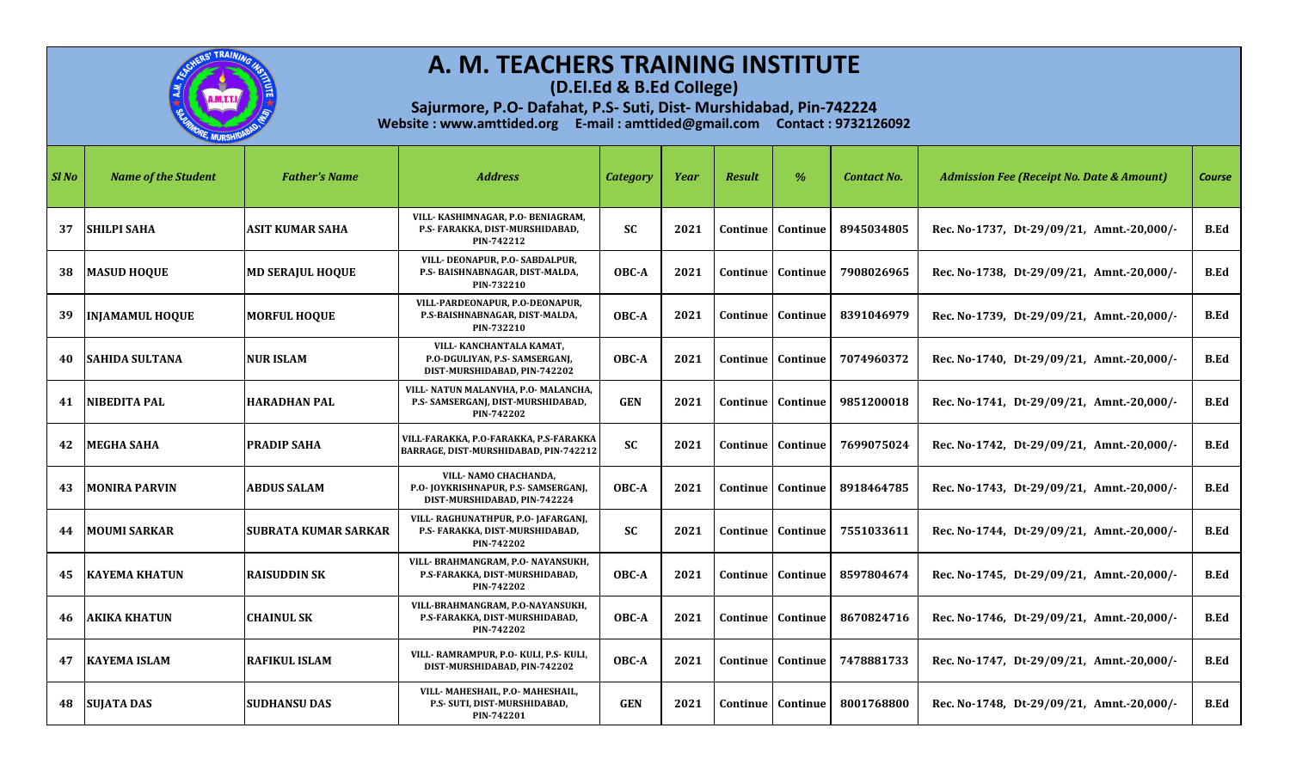

**(D.El.Ed & B.Ed College)**

| SI No | <b>Name of the Student</b> | <b>Father's Name</b>        | <b>Address</b>                                                                                | <b>Category</b> | Year | <b>Result</b> | $\%$                         | <b>Contact No.</b> | <b>Admission Fee (Receipt No. Date &amp; Amount)</b> | <b>Course</b> |
|-------|----------------------------|-----------------------------|-----------------------------------------------------------------------------------------------|-----------------|------|---------------|------------------------------|--------------------|------------------------------------------------------|---------------|
| 37    | <b>SHILPI SAHA</b>         | ASIT KUMAR SAHA             | VILL- KASHIMNAGAR, P.O- BENIAGRAM,<br>P.S- FARAKKA, DIST-MURSHIDABAD,<br>PIN-742212           | <b>SC</b>       | 2021 | Continue      | Continue                     | 8945034805         | Rec. No-1737, Dt-29/09/21, Amnt.-20,000/-            | B.Ed          |
| 38    | <b>MASUD HOQUE</b>         | <b>MD SERAJUL HOQUE</b>     | VILL- DEONAPUR, P.O- SABDALPUR,<br>P.S- BAISHNABNAGAR, DIST-MALDA,<br>PIN-732210              | OBC-A           | 2021 |               | <b>Continue   Continue</b>   | 7908026965         | Rec. No-1738, Dt-29/09/21, Amnt.-20,000/-            | B.Ed          |
| 39    | <b>INJAMAMUL HOQUE</b>     | <b>MORFUL HOOUE</b>         | VILL-PARDEONAPUR, P.O-DEONAPUR,<br>P.S-BAISHNABNAGAR, DIST-MALDA,<br>PIN-732210               | OBC-A           | 2021 |               | Continue   Continue          | 8391046979         | Rec. No-1739, Dt-29/09/21, Amnt.-20,000/-            | B.Ed          |
| 40    | <b>SAHIDA SULTANA</b>      | <b>NUR ISLAM</b>            | VILL- KANCHANTALA KAMAT,<br>P.O-DGULIYAN, P.S- SAMSERGANI,<br>DIST-MURSHIDABAD, PIN-742202    | OBC-A           | 2021 | Continue      | Continue                     | 7074960372         | Rec. No-1740, Dt-29/09/21, Amnt.-20,000/-            | <b>B.Ed</b>   |
| 41    | NIBEDITA PAL               | <b>HARADHAN PAL</b>         | VILL- NATUN MALANVHA, P.O- MALANCHA,<br>P.S- SAMSERGANJ, DIST-MURSHIDABAD,<br>PIN-742202      | <b>GEN</b>      | 2021 |               | <b>Continue   Continue  </b> | 9851200018         | Rec. No-1741, Dt-29/09/21, Amnt.-20,000/-            | <b>B.Ed</b>   |
| 42    | <b>MEGHA SAHA</b>          | <b>PRADIP SAHA</b>          | VILL-FARAKKA, P.O-FARAKKA, P.S-FARAKKA<br>BARRAGE, DIST-MURSHIDABAD, PIN-742212               | <b>SC</b>       | 2021 | Continue      | Continue                     | 7699075024         | Rec. No-1742, Dt-29/09/21, Amnt.-20,000/-            | B.Ed          |
| 43    | <b>MONIRA PARVIN</b>       | <b>ABDUS SALAM</b>          | VILL- NAMO CHACHANDA,<br>P.O- JOYKRISHNAPUR, P.S- SAMSERGANJ,<br>DIST-MURSHIDABAD. PIN-742224 | OBC-A           | 2021 |               | Continue   Continue          | 8918464785         | Rec. No-1743, Dt-29/09/21, Amnt.-20,000/-            | <b>B.Ed</b>   |
| 44    | <b>MOUMI SARKAR</b>        | <b>SUBRATA KUMAR SARKAR</b> | VILL-RAGHUNATHPUR, P.O-JAFARGANJ,<br>P.S- FARAKKA, DIST-MURSHIDABAD,<br>PIN-742202            | <b>SC</b>       | 2021 |               | Continue   Continue          | 7551033611         | Rec. No-1744, Dt-29/09/21, Amnt.-20,000/-            | B.Ed          |
|       | <b>45 IKAYEMA KHATUN</b>   | <b>RAISUDDIN SK</b>         | VILL- BRAHMANGRAM, P.O- NAYANSUKH,<br>P.S-FARAKKA, DIST-MURSHIDABAD,<br>PIN-742202            | OBC-A           | 2021 | Continue      | Continue                     | 8597804674         | Rec. No-1745, Dt-29/09/21, Amnt.-20,000/-            | <b>B.Ed</b>   |
| 46    | <b>AKIKA KHATUN</b>        | <b>CHAINUL SK</b>           | VILL-BRAHMANGRAM, P.O-NAYANSUKH,<br>P.S-FARAKKA, DIST-MURSHIDABAD,<br>PIN-742202              | OBC-A           | 2021 | Continue      | <b>Continue</b>              | 8670824716         | Rec. No-1746, Dt-29/09/21, Amnt.-20,000/-            | <b>B.Ed</b>   |
| 47    | <b>KAYEMA ISLAM</b>        | RAFIKUL ISLAM               | VILL-RAMRAMPUR, P.O-KULI, P.S-KULI,<br>DIST-MURSHIDABAD, PIN-742202                           | OBC-A           | 2021 | Continue      | Continue                     | 7478881733         | Rec. No-1747, Dt-29/09/21, Amnt.-20,000/-            | B.Ed          |
| 48    | <b>SUJATA DAS</b>          | <b>SUDHANSU DAS</b>         | VILL- MAHESHAIL, P.O- MAHESHAIL,<br>P.S- SUTI, DIST-MURSHIDABAD,<br>PIN-742201                | <b>GEN</b>      | 2021 |               | Continue   Continue          | 8001768800         | Rec. No-1748, Dt-29/09/21, Amnt.-20,000/-            | <b>B.Ed</b>   |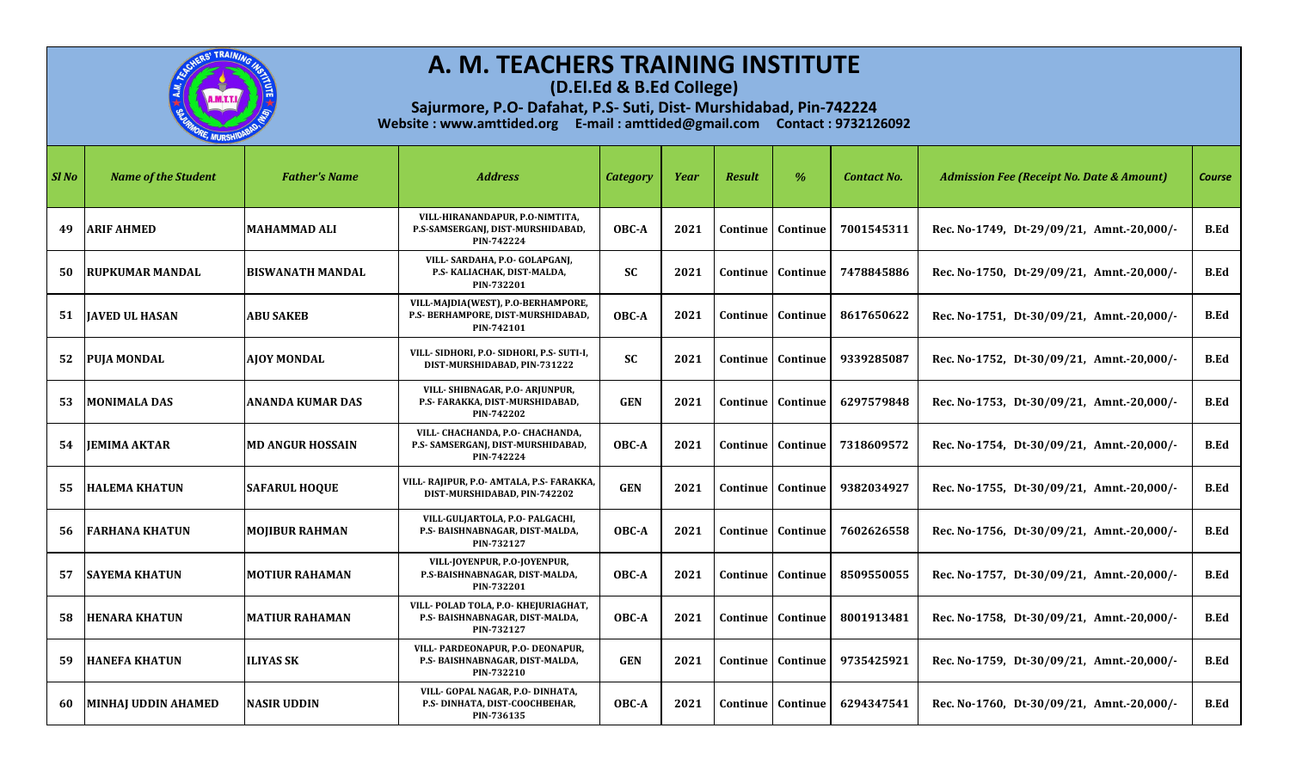

**(D.El.Ed & B.Ed College)**

| SI No | <b>Name of the Student</b> | <b>Father's Name</b>    | <b>Address</b>                                                                         | <b>Category</b> | Year | <b>Result</b> | $\%$                         | <b>Contact No.</b> | <b>Admission Fee (Receipt No. Date &amp; Amount)</b> | <b>Course</b> |
|-------|----------------------------|-------------------------|----------------------------------------------------------------------------------------|-----------------|------|---------------|------------------------------|--------------------|------------------------------------------------------|---------------|
| 49    | <b>ARIF AHMED</b>          | <b>MAHAMMAD ALI</b>     | VILL-HIRANANDAPUR, P.O-NIMTITA,<br>P.S-SAMSERGANJ, DIST-MURSHIDABAD,<br>PIN-742224     | OBC-A           | 2021 | Continue      | Continue                     | 7001545311         | Rec. No-1749, Dt-29/09/21, Amnt.-20,000/-            | B.Ed          |
| 50    | <b>RUPKUMAR MANDAL</b>     | <b>BISWANATH MANDAL</b> | VILL- SARDAHA, P.O- GOLAPGANJ,<br>P.S- KALIACHAK, DIST-MALDA,<br>PIN-732201            | <b>SC</b>       | 2021 |               | <b>Continue   Continue</b>   | 7478845886         | Rec. No-1750, Dt-29/09/21, Amnt.-20,000/-            | B.Ed          |
| 51    | <b>JAVED UL HASAN</b>      | <b>ABU SAKEB</b>        | VILL-MAJDIA(WEST), P.O-BERHAMPORE,<br>P.S- BERHAMPORE, DIST-MURSHIDABAD,<br>PIN-742101 | OBC-A           | 2021 |               | Continue   Continue          | 8617650622         | Rec. No-1751, Dt-30/09/21, Amnt.-20,000/-            | B.Ed          |
|       | 52 PUJA MONDAL             | AIOY MONDAL             | VILL- SIDHORI, P.O- SIDHORI, P.S- SUTI-I,<br>DIST-MURSHIDABAD, PIN-731222              | <b>SC</b>       | 2021 | Continue      | Continue                     | 9339285087         | Rec. No-1752, Dt-30/09/21, Amnt.-20,000/-            | <b>B.Ed</b>   |
| 53    | <b>IMONIMALA DAS</b>       | <b>ANANDA KUMAR DAS</b> | VILL- SHIBNAGAR, P.O- ARJUNPUR,<br>P.S- FARAKKA, DIST-MURSHIDABAD,<br>PIN-742202       | <b>GEN</b>      | 2021 |               | <b>Continue   Continue  </b> | 6297579848         | Rec. No-1753, Dt-30/09/21, Amnt.-20,000/-            | <b>B.Ed</b>   |
|       | 54 JEMIMA AKTAR            | <b>MD ANGUR HOSSAIN</b> | VILL- CHACHANDA, P.O- CHACHANDA,<br>P.S- SAMSERGANJ, DIST-MURSHIDABAD,<br>PIN-742224   | OBC-A           | 2021 | Continue      | Continue                     | 7318609572         | Rec. No-1754, Dt-30/09/21, Amnt.-20,000/-            | B.Ed          |
| 55    | <b>HALEMA KHATUN</b>       | <b>SAFARUL HOQUE</b>    | VILL-RAJIPUR, P.O- AMTALA, P.S- FARAKKA,<br>DIST-MURSHIDABAD, PIN-742202               | <b>GEN</b>      | 2021 |               | Continue   Continue          | 9382034927         | Rec. No-1755, Dt-30/09/21, Amnt.-20,000/-            | <b>B.Ed</b>   |
| 56    | <b>FARHANA KHATUN</b>      | <b>MOJIBUR RAHMAN</b>   | VILL-GULJARTOLA, P.O- PALGACHI,<br>P.S- BAISHNABNAGAR, DIST-MALDA,<br>PIN-732127       | OBC-A           | 2021 |               | Continue   Continue          | 7602626558         | Rec. No-1756, Dt-30/09/21, Amnt.-20,000/-            | B.Ed          |
| 57    | <b>SAYEMA KHATUN</b>       | <b>MOTIUR RAHAMAN</b>   | VILL-JOYENPUR, P.O-JOYENPUR,<br>P.S-BAISHNABNAGAR, DIST-MALDA,<br>PIN-732201           | OBC-A           | 2021 | Continue      | Continue                     | 8509550055         | Rec. No-1757, Dt-30/09/21, Amnt.-20,000/-            | <b>B.Ed</b>   |
| 58    | <b>HENARA KHATUN</b>       | <b>MATIUR RAHAMAN</b>   | VILL- POLAD TOLA, P.O- KHEJURIAGHAT,<br>P.S- BAISHNABNAGAR, DIST-MALDA,<br>PIN-732127  | OBC-A           | 2021 | Continue      | Continue                     | 8001913481         | Rec. No-1758, Dt-30/09/21, Amnt.-20,000/-            | <b>B.Ed</b>   |
| 59.   | <b>HANEFA KHATUN</b>       | <b>ILIYAS SK</b>        | VILL- PARDEONAPUR, P.O- DEONAPUR,<br>P.S- BAISHNABNAGAR, DIST-MALDA,<br>PIN-732210     | <b>GEN</b>      | 2021 | Continue      | Continue                     | 9735425921         | Rec. No-1759, Dt-30/09/21, Amnt.-20,000/-            | B.Ed          |
| 60    | MINHAI UDDIN AHAMED        | <b>NASIR UDDIN</b>      | VILL- GOPAL NAGAR, P.O- DINHATA,<br>P.S- DINHATA, DIST-COOCHBEHAR,<br>PIN-736135       | OBC-A           | 2021 | Continue      | <b>Continue</b>              | 6294347541         | Rec. No-1760, Dt-30/09/21, Amnt.-20,000/-            | <b>B.Ed</b>   |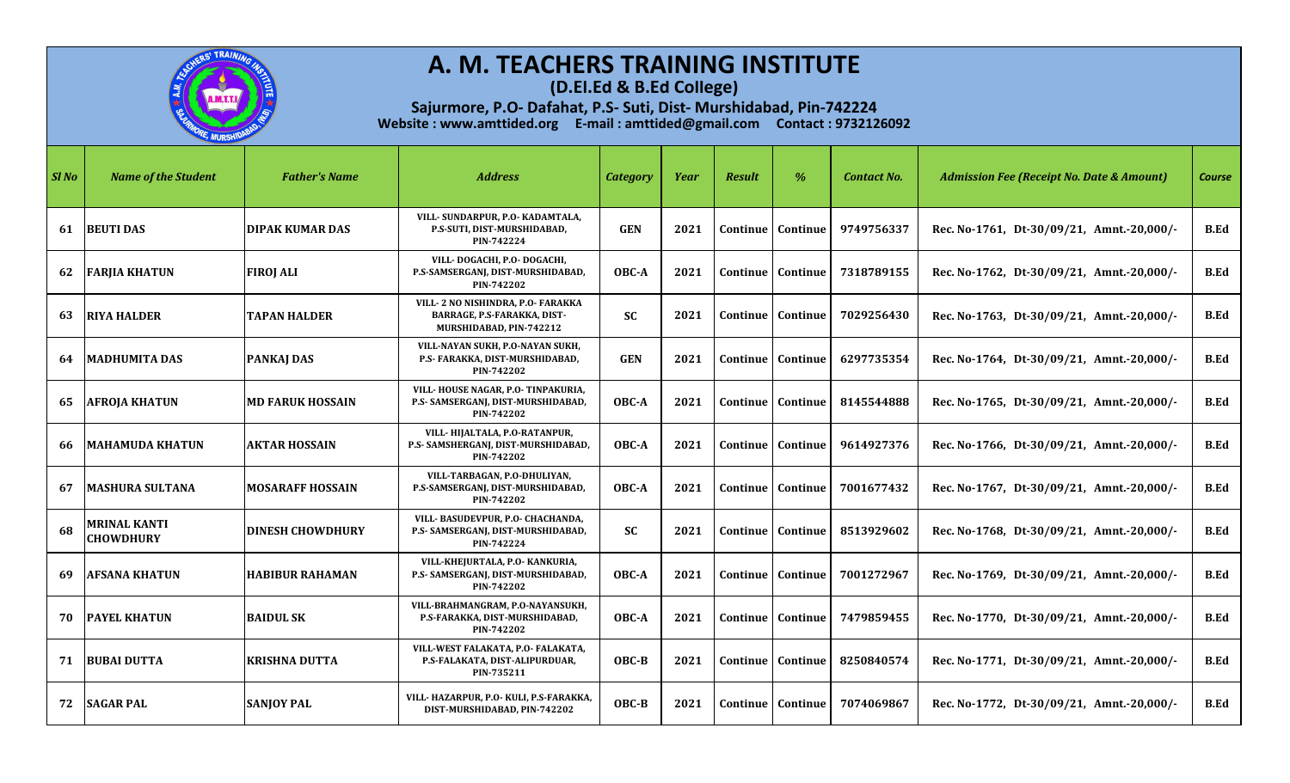

**(D.El.Ed & B.Ed College)**

| Sl No | <b>Name of the Student</b>       | <b>Father's Name</b>    | <b>Address</b>                                                                                     | <b>Category</b> | Year | <b>Result</b> | %                          | <b>Contact No.</b> | <b>Admission Fee (Receipt No. Date &amp; Amount)</b> | <b>Course</b> |
|-------|----------------------------------|-------------------------|----------------------------------------------------------------------------------------------------|-----------------|------|---------------|----------------------------|--------------------|------------------------------------------------------|---------------|
| 61    | <b>BEUTI DAS</b>                 | <b>DIPAK KUMAR DAS</b>  | VILL- SUNDARPUR, P.O- KADAMTALA,<br>P.S-SUTI, DIST-MURSHIDABAD,<br>PIN-742224                      | <b>GEN</b>      | 2021 |               | <b>Continue   Continue</b> | 9749756337         | Rec. No-1761, Dt-30/09/21, Amnt.-20,000/-            | <b>B.Ed</b>   |
| 62    | <b>FARJIA KHATUN</b>             | <b>FIROJ ALI</b>        | VILL-DOGACHI, P.O-DOGACHI,<br>P.S-SAMSERGANJ, DIST-MURSHIDABAD,<br>PIN-742202                      | OBC-A           | 2021 |               | <b>Continue   Continue</b> | 7318789155         | Rec. No-1762, Dt-30/09/21, Amnt.-20,000/-            | B.Ed          |
| 63    | <b>RIYA HALDER</b>               | <b>TAPAN HALDER</b>     | VILL-2 NO NISHINDRA, P.O- FARAKKA<br><b>BARRAGE, P.S-FARAKKA, DIST-</b><br>MURSHIDABAD, PIN-742212 | <b>SC</b>       | 2021 |               | Continue   Continue        | 7029256430         | Rec. No-1763, Dt-30/09/21, Amnt.-20,000/-            | <b>B.Ed</b>   |
| 64    | <b>MADHUMITA DAS</b>             | <b>PANKAJ DAS</b>       | VILL-NAYAN SUKH, P.O-NAYAN SUKH,<br>P.S- FARAKKA, DIST-MURSHIDABAD,<br>PIN-742202                  | <b>GEN</b>      | 2021 |               | Continue   Continue        | 6297735354         | Rec. No-1764, Dt-30/09/21, Amnt.-20,000/-            | B.Ed          |
| 65    | <b>AFROJA KHATUN</b>             | <b>MD FARUK HOSSAIN</b> | VILL-HOUSE NAGAR, P.O-TINPAKURIA,<br>P.S- SAMSERGANJ, DIST-MURSHIDABAD,<br>PIN-742202              | OBC-A           | 2021 |               | Continue   Continue        | 8145544888         | Rec. No-1765, Dt-30/09/21, Amnt.-20,000/-            | <b>B.Ed</b>   |
| 66    | <b>IMAHAMUDA KHATUN</b>          | <b>AKTAR HOSSAIN</b>    | VILL-HIJALTALA, P.O-RATANPUR,<br>P.S- SAMSHERGANJ, DIST-MURSHIDABAD,<br>PIN-742202                 | OBC-A           | 2021 |               | Continue   Continue        | 9614927376         | Rec. No-1766, Dt-30/09/21, Amnt.-20,000/-            | <b>B.Ed</b>   |
| 67    | <b>MASHURA SULTANA</b>           | <b>MOSARAFF HOSSAIN</b> | VILL-TARBAGAN, P.O-DHULIYAN,<br>P.S-SAMSERGANJ, DIST-MURSHIDABAD,<br>PIN-742202                    | OBC-A           | 2021 |               | Continue   Continue        | 7001677432         | Rec. No-1767, Dt-30/09/21, Amnt.-20,000/-            | <b>B.Ed</b>   |
| 68    | MRINAL KANTI<br><b>CHOWDHURY</b> | <b>DINESH CHOWDHURY</b> | VILL- BASUDEVPUR, P.O- CHACHANDA,<br>P.S- SAMSERGANJ, DIST-MURSHIDABAD,<br>PIN-742224              | <b>SC</b>       | 2021 |               | <b>Continue   Continue</b> | 8513929602         | Rec. No-1768, Dt-30/09/21, Amnt.-20,000/-            | <b>B.Ed</b>   |
| 69    | <b>AFSANA KHATUN</b>             | <b>HABIBUR RAHAMAN</b>  | VILL-KHEJURTALA, P.O- KANKURIA,<br>P.S- SAMSERGANJ, DIST-MURSHIDABAD,<br>PIN-742202                | OBC-A           | 2021 |               | Continue   Continue        | 7001272967         | Rec. No-1769, Dt-30/09/21, Amnt.-20,000/-            | <b>B.Ed</b>   |
| 70    | <b>PAYEL KHATUN</b>              | <b>BAIDUL SK</b>        | VILL-BRAHMANGRAM, P.O-NAYANSUKH,<br>P.S-FARAKKA, DIST-MURSHIDABAD,<br>PIN-742202                   | OBC-A           | 2021 |               | <b>Continue</b>   Continue | 7479859455         | Rec. No-1770, Dt-30/09/21, Amnt.-20,000/-            | <b>B.Ed</b>   |
| 71    | <b>BUBAI DUTTA</b>               | <b>KRISHNA DUTTA</b>    | VILL-WEST FALAKATA, P.O- FALAKATA,<br>P.S-FALAKATA, DIST-ALIPURDUAR,<br>PIN-735211                 | $OBC-B$         | 2021 |               | <b>Continue   Continue</b> | 8250840574         | Rec. No-1771, Dt-30/09/21, Amnt.-20,000/-            | B.Ed          |
| 72    | <b>SAGAR PAL</b>                 | <b>SANJOY PAL</b>       | VILL- HAZARPUR, P.O- KULI, P.S-FARAKKA,<br>DIST-MURSHIDABAD, PIN-742202                            | OBC-B           | 2021 |               | <b>Continue</b> Continue   | 7074069867         | Rec. No-1772, Dt-30/09/21, Amnt.-20,000/-            | <b>B.Ed</b>   |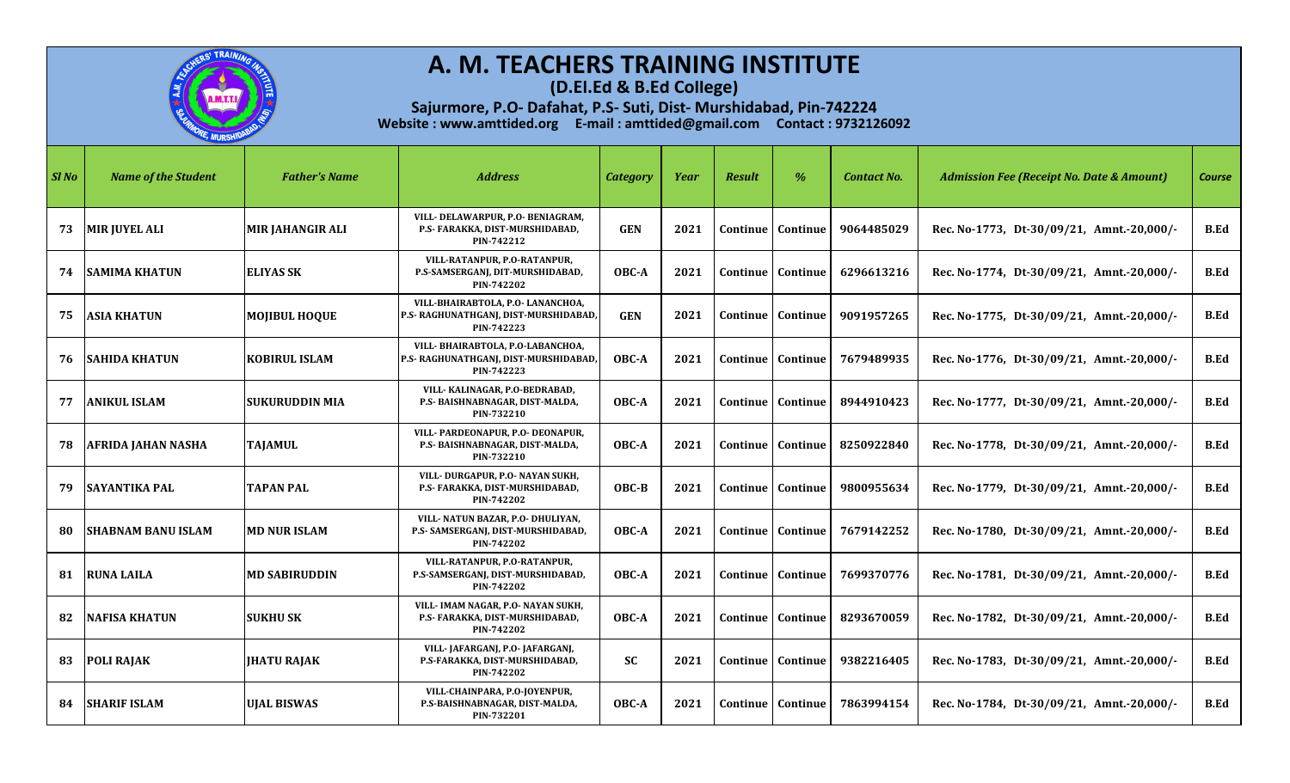

**(D.El.Ed & B.Ed College)**

| $Sl$ No | <b>Name of the Student</b> | <b>Father's Name</b>    | <b>Address</b>                                                                          | <b>Category</b> | Year | <b>Result</b> | $\%$                       | <b>Contact No.</b> | <b>Admission Fee (Receipt No. Date &amp; Amount)</b> | <b>Course</b> |
|---------|----------------------------|-------------------------|-----------------------------------------------------------------------------------------|-----------------|------|---------------|----------------------------|--------------------|------------------------------------------------------|---------------|
| 73      | <b>MIR JUYEL ALI</b>       | <b>MIR JAHANGIR ALI</b> | VILL- DELAWARPUR, P.O- BENIAGRAM,<br>P.S- FARAKKA, DIST-MURSHIDABAD,<br>PIN-742212      | <b>GEN</b>      | 2021 |               | Continue   Continue        | 9064485029         | Rec. No-1773, Dt-30/09/21, Amnt.-20,000/-            | <b>B.Ed</b>   |
|         | <b>74 SAMIMA KHATUN</b>    | <b>ELIYAS SK</b>        | VILL-RATANPUR, P.O-RATANPUR,<br>P.S-SAMSERGANJ, DIT-MURSHIDABAD,<br>PIN-742202          | OBC-A           | 2021 |               | <b>Continue   Continue</b> | 6296613216         | Rec. No-1774, Dt-30/09/21, Amnt.-20,000/-            | <b>B.Ed</b>   |
| 75.     | <b>ASIA KHATUN</b>         | <b>MOJIBUL HOQUE</b>    | VILL-BHAIRABTOLA, P.O- LANANCHOA,<br>P.S- RAGHUNATHGANJ, DIST-MURSHIDABAD<br>PIN-742223 | <b>GEN</b>      | 2021 |               | Continue   Continue        | 9091957265         | Rec. No-1775, Dt-30/09/21, Amnt.-20,000/-            | <b>B.Ed</b>   |
| 76      | <b>ISAHIDA KHATUN</b>      | <b>KOBIRUL ISLAM</b>    | VILL-BHAIRABTOLA, P.O-LABANCHOA,<br>P.S- RAGHUNATHGANJ, DIST-MURSHIDABAD<br>PIN-742223  | OBC-A           | 2021 |               | Continue   Continue        | 7679489935         | Rec. No-1776, Dt-30/09/21, Amnt.-20,000/-            | <b>B.Ed</b>   |
| 77      | <b>ANIKUL ISLAM</b>        | <b>SUKURUDDIN MIA</b>   | VILL- KALINAGAR, P.O-BEDRABAD,<br>P.S- BAISHNABNAGAR, DIST-MALDA,<br>PIN-732210         | OBC-A           | 2021 |               | <b>Continue   Continue</b> | 8944910423         | Rec. No-1777, Dt-30/09/21, Amnt.-20,000/-            | <b>B.Ed</b>   |
| 78      | <b>AFRIDA JAHAN NASHA</b>  | TAJAMUL                 | VILL- PARDEONAPUR. P.O- DEONAPUR.<br>P.S- BAISHNABNAGAR, DIST-MALDA,<br>PIN-732210      | OBC-A           | 2021 |               | Continue   Continue        | 8250922840         | Rec. No-1778, Dt-30/09/21, Amnt.-20,000/-            | <b>B.Ed</b>   |
| 79      | <b>SAYANTIKA PAL</b>       | <b>TAPAN PAL</b>        | VILL-DURGAPUR, P.O- NAYAN SUKH,<br>P.S- FARAKKA, DIST-MURSHIDABAD,<br>PIN-742202        | $OBC-B$         | 2021 |               | <b>Continue   Continue</b> | 9800955634         | Rec. No-1779, Dt-30/09/21, Amnt.-20,000/-            | <b>B.Ed</b>   |
| 80      | ISHABNAM BANU ISLAM        | <b>MD NUR ISLAM</b>     | VILL- NATUN BAZAR, P.O- DHULIYAN,<br>P.S- SAMSERGANJ, DIST-MURSHIDABAD,<br>PIN-742202   | OBC-A           | 2021 |               | Continue   Continue        | 7679142252         | Rec. No-1780, Dt-30/09/21, Amnt.-20,000/-            | <b>B.Ed</b>   |
| 81      | <b>RUNA LAILA</b>          | <b>MD SABIRUDDIN</b>    | VILL-RATANPUR, P.O-RATANPUR.<br>P.S-SAMSERGANJ, DIST-MURSHIDABAD,<br>PIN-742202         | OBC-A           | 2021 |               | Continue   Continue        | 7699370776         | Rec. No-1781, Dt-30/09/21, Amnt.-20,000/-            | <b>B.Ed</b>   |
| 82      | <b>NAFISA KHATUN</b>       | <b>SUKHU SK</b>         | VILL- IMAM NAGAR, P.O- NAYAN SUKH,<br>P.S- FARAKKA, DIST-MURSHIDABAD,<br>PIN-742202     | OBC-A           | 2021 |               | <b>Continue   Continue</b> | 8293670059         | Rec. No-1782, Dt-30/09/21, Amnt.-20,000/-            | <b>B.Ed</b>   |
| 83      | <b>POLI RAJAK</b>          | <b>JHATU RAJAK</b>      | VILL-JAFARGANJ, P.O-JAFARGANJ,<br>P.S-FARAKKA, DIST-MURSHIDABAD,<br>PIN-742202          | <b>SC</b>       | 2021 |               | Continue   Continue        | 9382216405         | Rec. No-1783, Dt-30/09/21, Amnt.-20,000/-            | <b>B.Ed</b>   |
| 84      | <b>SHARIF ISLAM</b>        | <b>UJAL BISWAS</b>      | VILL-CHAINPARA, P.O-JOYENPUR,<br>P.S-BAISHNABNAGAR, DIST-MALDA,<br>PIN-732201           | OBC-A           | 2021 |               | Continue   Continue        | 7863994154         | Rec. No-1784, Dt-30/09/21, Amnt.-20,000/-            | <b>B.Ed</b>   |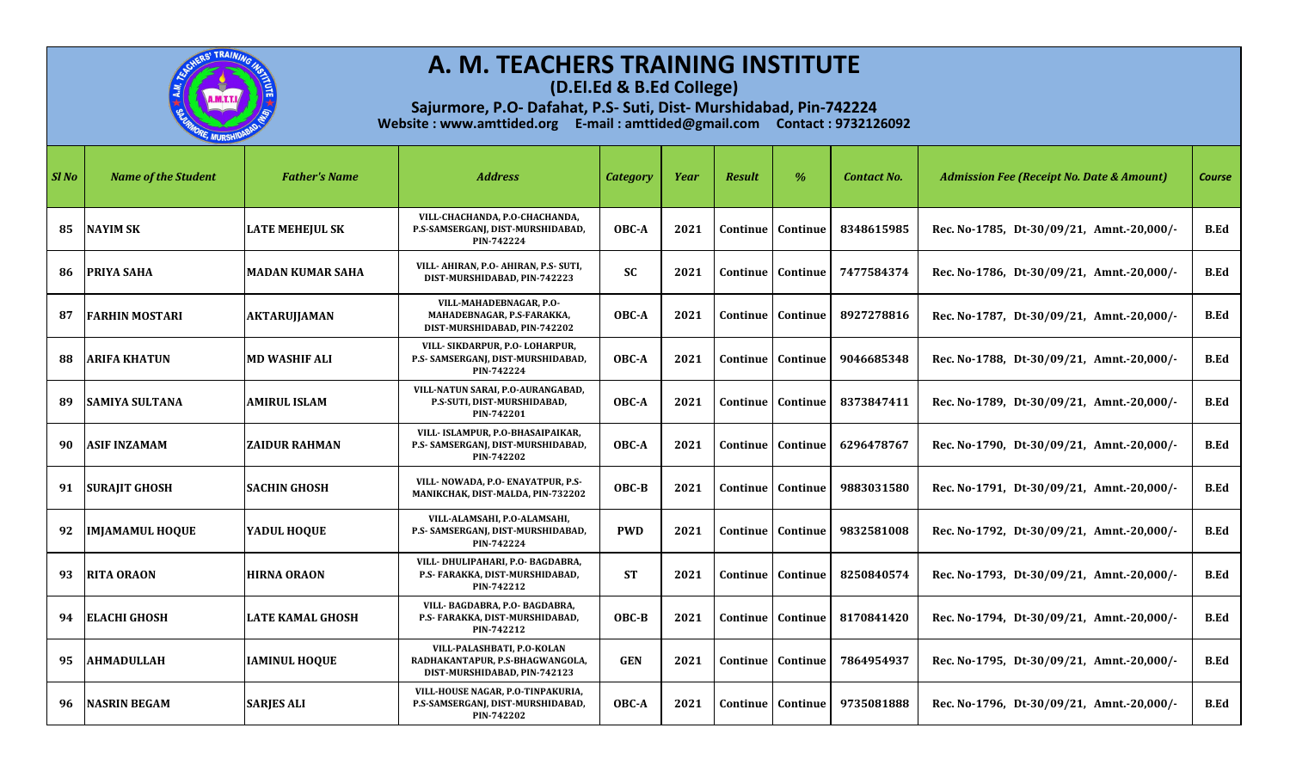

**(D.El.Ed & B.Ed College)**

| SI No | <b>Name of the Student</b> | <b>Father's Name</b>    | <b>Address</b>                                                                                | <b>Category</b> | Year | <b>Result</b> | %                          | <b>Contact No.</b> | <b>Admission Fee (Receipt No. Date &amp; Amount)</b> | <b>Course</b> |
|-------|----------------------------|-------------------------|-----------------------------------------------------------------------------------------------|-----------------|------|---------------|----------------------------|--------------------|------------------------------------------------------|---------------|
| 85    | <b>NAYIM SK</b>            | <b>LATE MEHEJUL SK</b>  | VILL-CHACHANDA, P.O-CHACHANDA,<br>P.S-SAMSERGANJ, DIST-MURSHIDABAD,<br>PIN-742224             | OBC-A           | 2021 |               | Continue   Continue        | 8348615985         | Rec. No-1785, Dt-30/09/21, Amnt.-20,000/-            | <b>B.Ed</b>   |
|       | 86   PRIYA SAHA            | <b>MADAN KUMAR SAHA</b> | VILL- AHIRAN, P.O- AHIRAN, P.S- SUTI,<br>DIST-MURSHIDABAD, PIN-742223                         | <b>SC</b>       | 2021 |               | <b>Continue   Continue</b> | 7477584374         | Rec. No-1786, Dt-30/09/21, Amnt.-20,000/-            | B.Ed          |
| 87    | <b>FARHIN MOSTARI</b>      | <b>AKTARUJJAMAN</b>     | VILL-MAHADEBNAGAR, P.O-<br>MAHADEBNAGAR, P.S-FARAKKA,<br>DIST-MURSHIDABAD, PIN-742202         | OBC-A           | 2021 |               | Continue   Continue        | 8927278816         | Rec. No-1787, Dt-30/09/21, Amnt.-20,000/-            | <b>B.Ed</b>   |
| 88    | <b>ARIFA KHATUN</b>        | <b>MD WASHIF ALI</b>    | VILL-SIKDARPUR, P.O-LOHARPUR,<br>P.S- SAMSERGANJ, DIST-MURSHIDABAD,<br>PIN-742224             | OBC-A           | 2021 |               | Continue   Continue        | 9046685348         | Rec. No-1788, Dt-30/09/21, Amnt.-20,000/-            | <b>B.Ed</b>   |
| 89    | <b>SAMIYA SULTANA</b>      | <b>AMIRUL ISLAM</b>     | VILL-NATUN SARAI, P.O-AURANGABAD,<br>P.S-SUTI, DIST-MURSHIDABAD,<br>PIN-742201                | OBC-A           | 2021 |               | Continue   Continue        | 8373847411         | Rec. No-1789, Dt-30/09/21, Amnt.-20,000/-            | B.Ed          |
| 90    | <b>ASIF INZAMAM</b>        | <b>ZAIDUR RAHMAN</b>    | VILL- ISLAMPUR, P.O-BHASAIPAIKAR,<br>P.S- SAMSERGANJ, DIST-MURSHIDABAD,<br>PIN-742202         | OBC-A           | 2021 |               | Continue   Continue        | 6296478767         | Rec. No-1790, Dt-30/09/21, Amnt.-20,000/-            | <b>B.Ed</b>   |
| 91    | <b>SURAJIT GHOSH</b>       | <b>SACHIN GHOSH</b>     | VILL- NOWADA, P.O- ENAYATPUR, P.S-<br>MANIKCHAK, DIST-MALDA, PIN-732202                       | OBC-B           | 2021 |               | Continue   Continue        | 9883031580         | Rec. No-1791, Dt-30/09/21, Amnt.-20,000/-            | <b>B.Ed</b>   |
| 92    | <b>IMJAMAMUL HOQUE</b>     | YADUL HOOUE             | VILL-ALAMSAHI, P.O-ALAMSAHI,<br>P.S- SAMSERGANJ, DIST-MURSHIDABAD,<br>PIN-742224              | <b>PWD</b>      | 2021 |               | Continue   Continue        | 9832581008         | Rec. No-1792, Dt-30/09/21, Amnt.-20,000/-            | <b>B.Ed</b>   |
| 93    | <b>RITA ORAON</b>          | <b>HIRNA ORAON</b>      | VILL- DHULIPAHARI, P.O- BAGDABRA,<br>P.S- FARAKKA, DIST-MURSHIDABAD,<br>PIN-742212            | <b>ST</b>       | 2021 |               | Continue   Continue        | 8250840574         | Rec. No-1793, Dt-30/09/21, Amnt.-20,000/-            | <b>B.Ed</b>   |
|       | 94 ELACHI GHOSH            | <b>LATE KAMAL GHOSH</b> | VILL- BAGDABRA, P.O- BAGDABRA,<br>P.S- FARAKKA, DIST-MURSHIDABAD,<br>PIN-742212               | OBC-B           | 2021 |               | <b>Continue   Continue</b> | 8170841420         | Rec. No-1794, Dt-30/09/21, Amnt.-20,000/-            | <b>B.Ed</b>   |
| 95    | <b>AHMADULLAH</b>          | <b>IAMINUL HOOUE</b>    | VILL-PALASHBATI, P.O-KOLAN<br>RADHAKANTAPUR, P.S-BHAGWANGOLA,<br>DIST-MURSHIDABAD, PIN-742123 | <b>GEN</b>      | 2021 |               | Continue   Continue        | 7864954937         | Rec. No-1795, Dt-30/09/21, Amnt.-20,000/-            | <b>B.Ed</b>   |
| 96    | <b>NASRIN BEGAM</b>        | <b>SARJES ALI</b>       | VILL-HOUSE NAGAR, P.O-TINPAKURIA,<br>P.S-SAMSERGANJ, DIST-MURSHIDABAD,<br>PIN-742202          | OBC-A           | 2021 |               | Continue   Continue        | 9735081888         | Rec. No-1796, Dt-30/09/21, Amnt.-20,000/-            | <b>B.Ed</b>   |